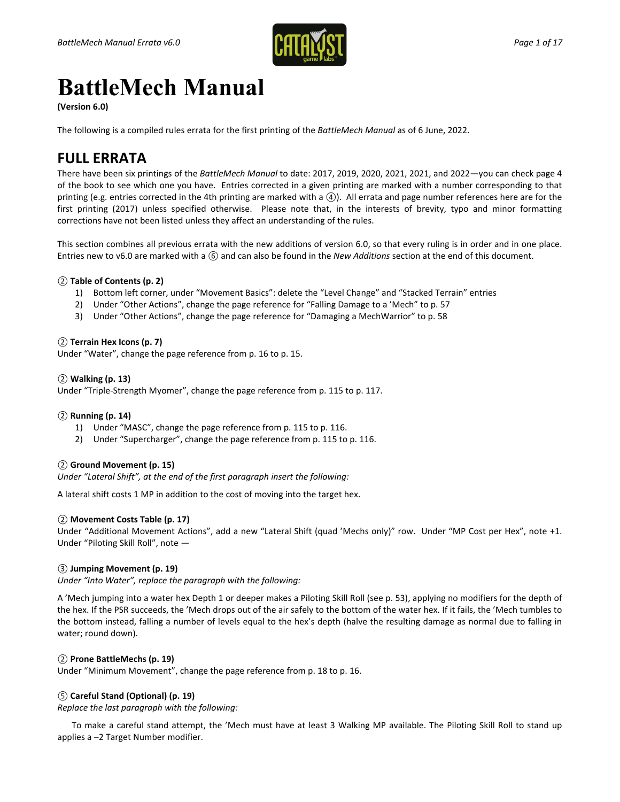

# **BattleMech Manual**

**(Version 6.0)**

The following is a compiled rules errata for the first printing of the *BattleMech Manual* as of 6 June, 2022.

# **FULL ERRATA**

There have been six printings of the *BattleMech Manual* to date: 2017, 2019, 2020, 2021, 2021, and 2022—you can check page 4 of the book to see which one you have. Entries corrected in a given printing are marked with a number corresponding to that printing (e.g. entries corrected in the 4th printing are marked with a *④*). All errata and page number references here are for the first printing (2017) unless specified otherwise. Please note that, in the interests of brevity, typo and minor formatting corrections have not been listed unless they affect an understanding of the rules.

This section combines all previous errata with the new additions of version 6.0, so that every ruling is in order and in one place. Entries new to v6.0 are marked with a *⑥* and can also be found in the *New Additions* section at the end of this document.

# *②* **Table of Contents (p. 2)**

- 1) Bottom left corner, under "Movement Basics": delete the "Level Change" and "Stacked Terrain" entries
- 2) Under "Other Actions", change the page reference for "Falling Damage to a 'Mech" to p. 57
- 3) Under "Other Actions", change the page reference for "Damaging a MechWarrior" to p. 58

# *②* **Terrain Hex Icons (p. 7)**

Under "Water", change the page reference from p. 16 to p. 15.

# *②* **Walking (p. 13)**

Under "Triple-Strength Myomer", change the page reference from p. 115 to p. 117.

#### *②* **Running (p. 14)**

- 1) Under "MASC", change the page reference from p. 115 to p. 116.
- 2) Under "Supercharger", change the page reference from p. 115 to p. 116.

#### *②* **Ground Movement (p. 15)**

*Under "Lateral Shift", at the end of the first paragraph insert the following:*

A lateral shift costs 1 MP in addition to the cost of moving into the target hex.

# *②* **Movement Costs Table (p. 17)**

Under "Additional Movement Actions", add a new "Lateral Shift (quad 'Mechs only)" row. Under "MP Cost per Hex", note +1. Under "Piloting Skill Roll", note —

# *③* **Jumping Movement (p. 19)**

*Under "Into Water", replace the paragraph with the following:*

A 'Mech jumping into a water hex Depth 1 or deeper makes a Piloting Skill Roll (see p. 53), applying no modifiers for the depth of the hex. If the PSR succeeds, the 'Mech drops out of the air safely to the bottom of the water hex. If it fails, the 'Mech tumbles to the bottom instead, falling a number of levels equal to the hex's depth (halve the resulting damage as normal due to falling in water; round down).

# *②* **Prone BattleMechs (p. 19)**

Under "Minimum Movement", change the page reference from p. 18 to p. 16.

# *⑤* **Careful Stand (Optional) (p. 19)**

*Replace the last paragraph with the following:*

To make a careful stand attempt, the 'Mech must have at least 3 Walking MP available. The Piloting Skill Roll to stand up applies a –2 Target Number modifier.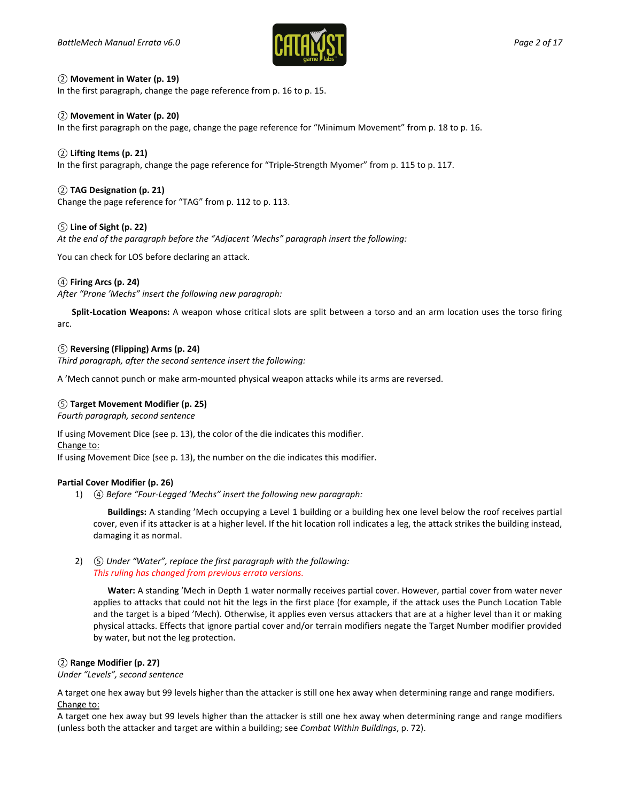

#### *②* **Movement in Water (p. 19)**

In the first paragraph, change the page reference from p. 16 to p. 15.

#### *②* **Movement in Water (p. 20)**

In the first paragraph on the page, change the page reference for "Minimum Movement" from p. 18 to p. 16.

# *②* **Lifting Items (p. 21)**

In the first paragraph, change the page reference for "Triple-Strength Myomer" from p. 115 to p. 117.

# *②* **TAG Designation (p. 21)**

Change the page reference for "TAG" from p. 112 to p. 113.

#### *⑤* **Line of Sight (p. 22)**

*At the end of the paragraph before the "Adjacent 'Mechs" paragraph insert the following:*

You can check for LOS before declaring an attack.

# *④* **Firing Arcs (p. 24)**

*After "Prone 'Mechs" insert the following new paragraph:*

**Split-Location Weapons:** A weapon whose critical slots are split between a torso and an arm location uses the torso firing arc.

#### *⑤* **Reversing (Flipping) Arms (p. 24)**

*Third paragraph, after the second sentence insert the following:*

A 'Mech cannot punch or make arm-mounted physical weapon attacks while its arms are reversed.

#### *⑤* **Target Movement Modifier (p. 25)**

*Fourth paragraph, second sentence*

If using Movement Dice (see p. 13), the color of the die indicates this modifier.

Change to:

If using Movement Dice (see p. 13), the number on the die indicates this modifier.

#### **Partial Cover Modifier (p. 26)**

1) *④ Before "Four-Legged 'Mechs" insert the following new paragraph:*

**Buildings:** A standing 'Mech occupying a Level 1 building or a building hex one level below the roof receives partial cover, even if its attacker is at a higher level. If the hit location roll indicates a leg, the attack strikes the building instead, damaging it as normal.

#### 2) *⑤ Under "Water", replace the first paragraph with the following: This ruling has changed from previous errata versions.*

**Water:** A standing 'Mech in Depth 1 water normally receives partial cover. However, partial cover from water never applies to attacks that could not hit the legs in the first place (for example, if the attack uses the Punch Location Table and the target is a biped 'Mech). Otherwise, it applies even versus attackers that are at a higher level than it or making physical attacks. Effects that ignore partial cover and/or terrain modifiers negate the Target Number modifier provided by water, but not the leg protection.

#### *②* **Range Modifier (p. 27)**

*Under "Levels", second sentence*

A target one hex away but 99 levels higher than the attacker is still one hex away when determining range and range modifiers. Change to:

A target one hex away but 99 levels higher than the attacker is still one hex away when determining range and range modifiers (unless both the attacker and target are within a building; see *Combat Within Buildings*, p. 72).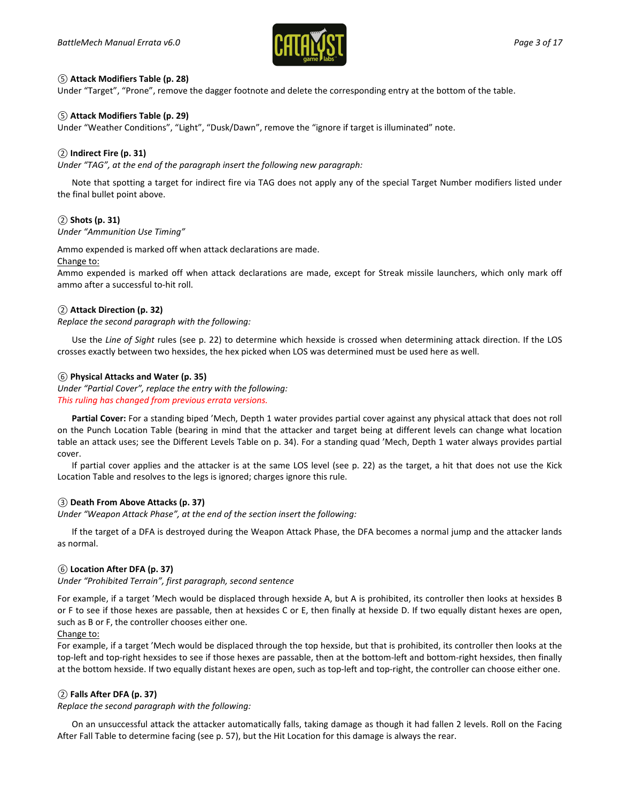

# *⑤* **Attack Modifiers Table (p. 28)**

Under "Target", "Prone", remove the dagger footnote and delete the corresponding entry at the bottom of the table.

# *⑤* **Attack Modifiers Table (p. 29)**

Under "Weather Conditions", "Light", "Dusk/Dawn", remove the "ignore if target is illuminated" note.

# *②* **Indirect Fire (p. 31)**

*Under "TAG", at the end of the paragraph insert the following new paragraph:*

Note that spotting a target for indirect fire via TAG does not apply any of the special Target Number modifiers listed under the final bullet point above.

# *②* **Shots (p. 31)**

*Under "Ammunition Use Timing"*

Ammo expended is marked off when attack declarations are made.

Change to:

Ammo expended is marked off when attack declarations are made, except for Streak missile launchers, which only mark off ammo after a successful to-hit roll.

# *②* **Attack Direction (p. 32)**

*Replace the second paragraph with the following:*

Use the *Line of Sight* rules (see p. 22) to determine which hexside is crossed when determining attack direction. If the LOS crosses exactly between two hexsides, the hex picked when LOS was determined must be used here as well.

# *⑥* **Physical Attacks and Water (p. 35)**

*Under "Partial Cover", replace the entry with the following: This ruling has changed from previous errata versions.*

**Partial Cover:** For a standing biped 'Mech, Depth 1 water provides partial cover against any physical attack that does not roll on the Punch Location Table (bearing in mind that the attacker and target being at different levels can change what location table an attack uses; see the Different Levels Table on p. 34). For a standing quad 'Mech, Depth 1 water always provides partial cover.

If partial cover applies and the attacker is at the same LOS level (see p. 22) as the target, a hit that does not use the Kick Location Table and resolves to the legs is ignored; charges ignore this rule.

#### *③* **Death From Above Attacks (p. 37)**

*Under "Weapon Attack Phase", at the end of the section insert the following:*

If the target of a DFA is destroyed during the Weapon Attack Phase, the DFA becomes a normal jump and the attacker lands as normal.

#### *⑥* **Location After DFA (p. 37)**

*Under "Prohibited Terrain", first paragraph, second sentence*

For example, if a target 'Mech would be displaced through hexside A, but A is prohibited, its controller then looks at hexsides B or F to see if those hexes are passable, then at hexsides C or E, then finally at hexside D. If two equally distant hexes are open, such as B or F, the controller chooses either one.

#### Change to:

For example, if a target 'Mech would be displaced through the top hexside, but that is prohibited, its controller then looks at the top-left and top-right hexsides to see if those hexes are passable, then at the bottom-left and bottom-right hexsides, then finally at the bottom hexside. If two equally distant hexes are open, such as top-left and top-right, the controller can choose either one.

# *②* **Falls After DFA (p. 37)**

*Replace the second paragraph with the following:*

On an unsuccessful attack the attacker automatically falls, taking damage as though it had fallen 2 levels. Roll on the Facing After Fall Table to determine facing (see p. 57), but the Hit Location for this damage is always the rear.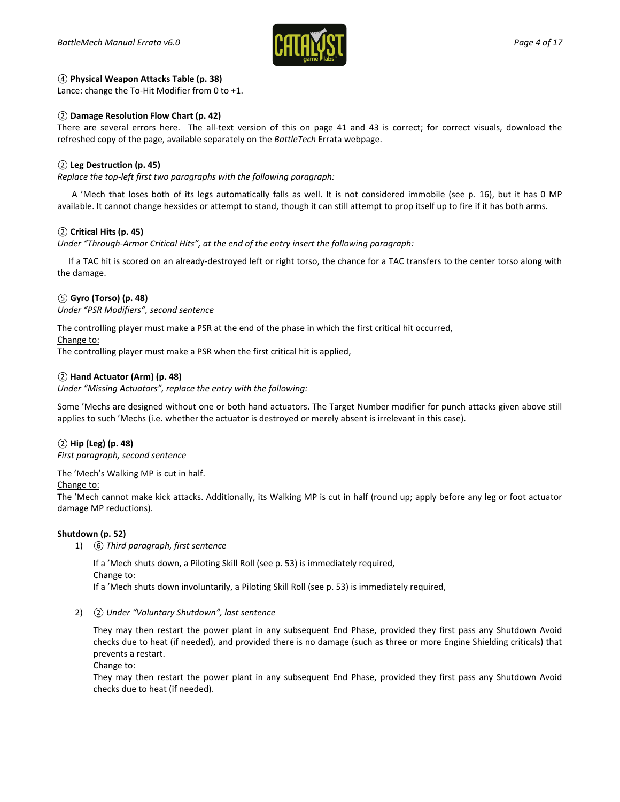

#### *④* **Physical Weapon Attacks Table (p. 38)**

Lance: change the To-Hit Modifier from 0 to +1.

#### *②* **Damage Resolution Flow Chart (p. 42)**

There are several errors here. The all-text version of this on page 41 and 43 is correct; for correct visuals, download the refreshed copy of the page, available separately on the *BattleTech* Errata webpage.

#### *②* **Leg Destruction (p. 45)**

*Replace the top-left first two paragraphs with the following paragraph:*

A 'Mech that loses both of its legs automatically falls as well. It is not considered immobile (see p. 16), but it has 0 MP available. It cannot change hexsides or attempt to stand, though it can still attempt to prop itself up to fire if it has both arms.

#### *②* **Critical Hits (p. 45)**

*Under "Through-Armor Critical Hits", at the end of the entry insert the following paragraph:*

 If a TAC hit is scored on an already-destroyed left or right torso, the chance for a TAC transfers to the center torso along with the damage.

#### *⑤* **Gyro (Torso) (p. 48)**

*Under "PSR Modifiers", second sentence*

The controlling player must make a PSR at the end of the phase in which the first critical hit occurred,

#### Change to:

The controlling player must make a PSR when the first critical hit is applied,

#### *②* **Hand Actuator (Arm) (p. 48)**

*Under "Missing Actuators", replace the entry with the following:*

Some 'Mechs are designed without one or both hand actuators. The Target Number modifier for punch attacks given above still applies to such 'Mechs (i.e. whether the actuator is destroyed or merely absent is irrelevant in this case).

#### *②* **Hip (Leg) (p. 48)**

*First paragraph, second sentence*

The 'Mech's Walking MP is cut in half.

#### Change to:

The 'Mech cannot make kick attacks. Additionally, its Walking MP is cut in half (round up; apply before any leg or foot actuator damage MP reductions).

#### **Shutdown (p. 52)**

1) *⑥ Third paragraph, first sentence*

If a 'Mech shuts down, a Piloting Skill Roll (see p. 53) is immediately required,

Change to:

If a 'Mech shuts down involuntarily, a Piloting Skill Roll (see p. 53) is immediately required,

2) *② Under "Voluntary Shutdown", last sentence*

They may then restart the power plant in any subsequent End Phase, provided they first pass any Shutdown Avoid checks due to heat (if needed), and provided there is no damage (such as three or more Engine Shielding criticals) that prevents a restart.

Change to:

They may then restart the power plant in any subsequent End Phase, provided they first pass any Shutdown Avoid checks due to heat (if needed).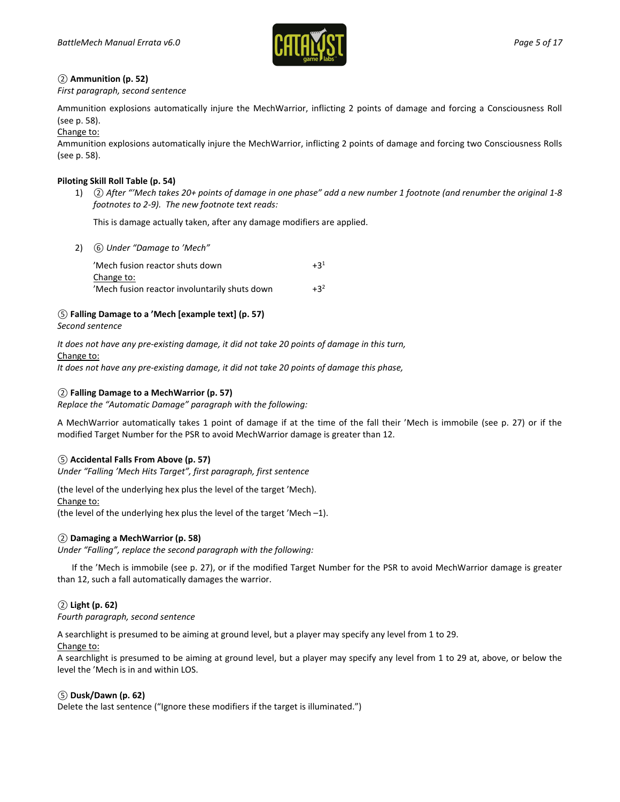

# *②* **Ammunition (p. 52)**

*First paragraph, second sentence*

Ammunition explosions automatically injure the MechWarrior, inflicting 2 points of damage and forcing a Consciousness Roll (see p. 58).

Change to:

Ammunition explosions automatically injure the MechWarrior, inflicting 2 points of damage and forcing two Consciousness Rolls (see p. 58).

# **Piloting Skill Roll Table (p. 54)**

1) *② After "'Mech takes 20+ points of damage in one phase" add a new number 1 footnote (and renumber the original 1-8 footnotes to 2-9). The new footnote text reads:*

This is damage actually taken, after any damage modifiers are applied.

2) *⑥ Under "Damage to 'Mech"*

'Mech fusion reactor shuts down  $+3^1$ Change to: 'Mech fusion reactor involuntarily shuts down  $+3^2$ 

# *⑤* **Falling Damage to a 'Mech [example text] (p. 57)**

*Second sentence*

*It does not have any pre-existing damage, it did not take 20 points of damage in this turn,*

Change to:

*It does not have any pre-existing damage, it did not take 20 points of damage this phase,*

# *②* **Falling Damage to a MechWarrior (p. 57)**

*Replace the "Automatic Damage" paragraph with the following:*

A MechWarrior automatically takes 1 point of damage if at the time of the fall their 'Mech is immobile (see p. 27) or if the modified Target Number for the PSR to avoid MechWarrior damage is greater than 12.

# *⑤* **Accidental Falls From Above (p. 57)**

*Under "Falling 'Mech Hits Target", first paragraph, first sentence*

(the level of the underlying hex plus the level of the target 'Mech). Change to: (the level of the underlying hex plus the level of the target 'Mech –1).

# *②* **Damaging a MechWarrior (p. 58)**

*Under "Falling", replace the second paragraph with the following:*

If the 'Mech is immobile (see p. 27), or if the modified Target Number for the PSR to avoid MechWarrior damage is greater than 12, such a fall automatically damages the warrior.

# *②* **Light (p. 62)**

*Fourth paragraph, second sentence*

A searchlight is presumed to be aiming at ground level, but a player may specify any level from 1 to 29.

Change to:

A searchlight is presumed to be aiming at ground level, but a player may specify any level from 1 to 29 at, above, or below the level the 'Mech is in and within LOS.

# *⑤* **Dusk/Dawn (p. 62)**

Delete the last sentence ("Ignore these modifiers if the target is illuminated.")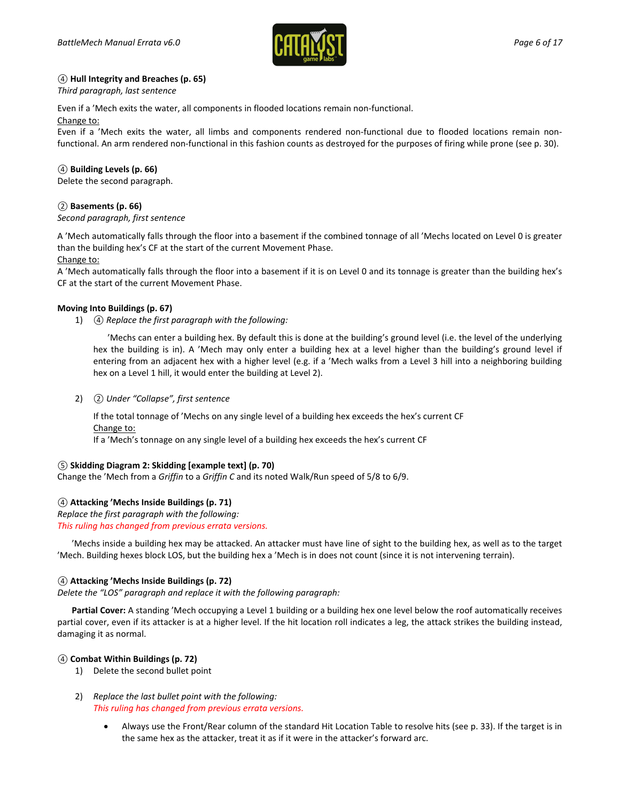

# *④* **Hull Integrity and Breaches (p. 65)**

#### *Third paragraph, last sentence*

Even if a 'Mech exits the water, all components in flooded locations remain non-functional.

#### Change to:

Even if a 'Mech exits the water, all limbs and components rendered non-functional due to flooded locations remain nonfunctional. An arm rendered non-functional in this fashion counts as destroyed for the purposes of firing while prone (see p. 30).

# *④* **Building Levels (p. 66)**

Delete the second paragraph.

# *②* **Basements (p. 66)**

#### *Second paragraph, first sentence*

A 'Mech automatically falls through the floor into a basement if the combined tonnage of all 'Mechs located on Level 0 is greater than the building hex's CF at the start of the current Movement Phase.

#### Change to:

A 'Mech automatically falls through the floor into a basement if it is on Level 0 and its tonnage is greater than the building hex's CF at the start of the current Movement Phase.

#### **Moving Into Buildings (p. 67)**

1) *④ Replace the first paragraph with the following:*

'Mechs can enter a building hex. By default this is done at the building's ground level (i.e. the level of the underlying hex the building is in). A 'Mech may only enter a building hex at a level higher than the building's ground level if entering from an adjacent hex with a higher level (e.g. if a 'Mech walks from a Level 3 hill into a neighboring building hex on a Level 1 hill, it would enter the building at Level 2).

2) *② Under "Collapse", first sentence*

If the total tonnage of 'Mechs on any single level of a building hex exceeds the hex's current CF Change to:

If a 'Mech's tonnage on any single level of a building hex exceeds the hex's current CF

#### *⑤* **Skidding Diagram 2: Skidding [example text] (p. 70)**

Change the 'Mech from a *Griffin* to a *Griffin C* and its noted Walk/Run speed of 5/8 to 6/9.

#### *④* **Attacking 'Mechs Inside Buildings (p. 71)**

*Replace the first paragraph with the following: This ruling has changed from previous errata versions.*

'Mechs inside a building hex may be attacked. An attacker must have line of sight to the building hex, as well as to the target 'Mech. Building hexes block LOS, but the building hex a 'Mech is in does not count (since it is not intervening terrain).

#### *④* **Attacking 'Mechs Inside Buildings (p. 72)**

*Delete the "LOS" paragraph and replace it with the following paragraph:*

**Partial Cover:** A standing 'Mech occupying a Level 1 building or a building hex one level below the roof automatically receives partial cover, even if its attacker is at a higher level. If the hit location roll indicates a leg, the attack strikes the building instead, damaging it as normal.

#### *④* **Combat Within Buildings (p. 72)**

- 1) Delete the second bullet point
- 2) *Replace the last bullet point with the following: This ruling has changed from previous errata versions.*
	- Always use the Front/Rear column of the standard Hit Location Table to resolve hits (see p. 33). If the target is in the same hex as the attacker, treat it as if it were in the attacker's forward arc.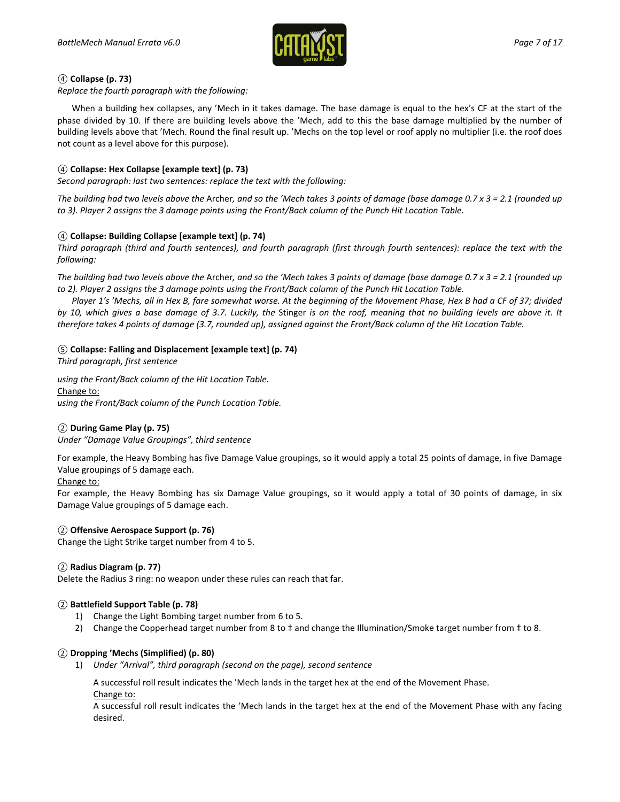

# *④* **Collapse (p. 73)**

*Replace the fourth paragraph with the following:*

When a building hex collapses, any 'Mech in it takes damage. The base damage is equal to the hex's CF at the start of the phase divided by 10. If there are building levels above the 'Mech, add to this the base damage multiplied by the number of building levels above that 'Mech. Round the final result up. 'Mechs on the top level or roof apply no multiplier (i.e. the roof does not count as a level above for this purpose).

# *④* **Collapse: Hex Collapse [example text] (p. 73)**

*Second paragraph: last two sentences: replace the text with the following:*

*The building had two levels above the* Archer*, and so the 'Mech takes 3 points of damage (base damage 0.7 x 3 = 2.1 (rounded up to 3). Player 2 assigns the 3 damage points using the Front/Back column of the Punch Hit Location Table.*

#### *④* **Collapse: Building Collapse [example text] (p. 74)**

*Third paragraph (third and fourth sentences), and fourth paragraph (first through fourth sentences): replace the text with the following:*

*The building had two levels above the* Archer*, and so the 'Mech takes 3 points of damage (base damage 0.7 x 3 = 2.1 (rounded up to 2). Player 2 assigns the 3 damage points using the Front/Back column of the Punch Hit Location Table.*

*Player 1's 'Mechs, all in Hex B, fare somewhat worse. At the beginning of the Movement Phase, Hex B had a CF of 37; divided by 10, which gives a base damage of 3.7. Luckily, the* Stinger *is on the roof, meaning that no building levels are above it. It therefore takes 4 points of damage (3.7, rounded up), assigned against the Front/Back column of the Hit Location Table.*

#### *⑤* **Collapse: Falling and Displacement [example text] (p. 74)**

*Third paragraph, first sentence*

*using the Front/Back column of the Hit Location Table.* Change to: *using the Front/Back column of the Punch Location Table.*

#### *②* **During Game Play (p. 75)**

*Under "Damage Value Groupings", third sentence*

For example, the Heavy Bombing has five Damage Value groupings, so it would apply a total 25 points of damage, in five Damage Value groupings of 5 damage each.

#### Change to:

For example, the Heavy Bombing has six Damage Value groupings, so it would apply a total of 30 points of damage, in six Damage Value groupings of 5 damage each.

#### *②* **Offensive Aerospace Support (p. 76)**

Change the Light Strike target number from 4 to 5.

#### *②* **Radius Diagram (p. 77)**

Delete the Radius 3 ring: no weapon under these rules can reach that far.

#### *②* **Battlefield Support Table (p. 78)**

- 1) Change the Light Bombing target number from 6 to 5.
- 2) Change the Copperhead target number from 8 to ‡ and change the Illumination/Smoke target number from ‡ to 8.

#### *②* **Dropping 'Mechs (Simplified) (p. 80)**

1) *Under "Arrival", third paragraph (second on the page), second sentence*

A successful roll result indicates the 'Mech lands in the target hex at the end of the Movement Phase. Change to:

A successful roll result indicates the 'Mech lands in the target hex at the end of the Movement Phase with any facing desired.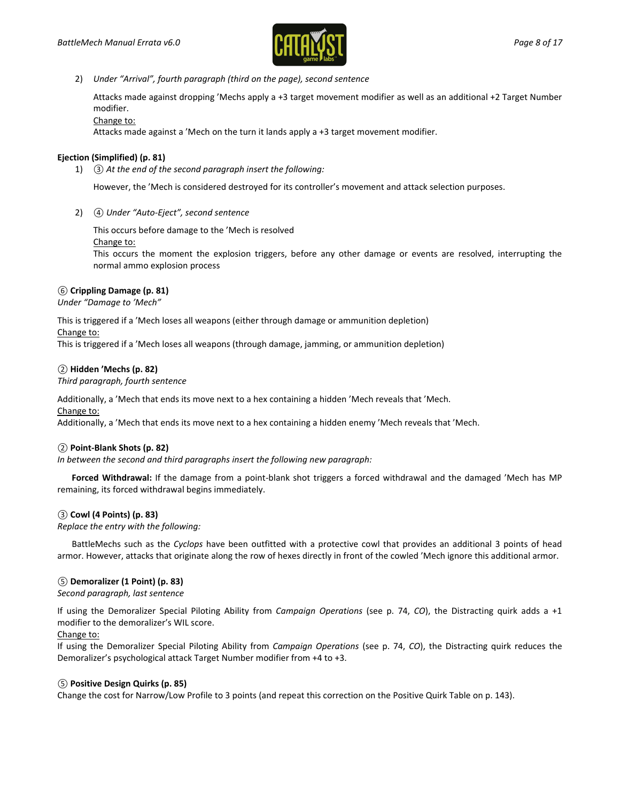

2) *Under "Arrival", fourth paragraph (third on the page), second sentence*

Attacks made against dropping 'Mechs apply a +3 target movement modifier as well as an additional +2 Target Number modifier.

Change to:

Attacks made against a 'Mech on the turn it lands apply a +3 target movement modifier.

# **Ejection (Simplified) (p. 81)**

1) *③ At the end of the second paragraph insert the following:*

However, the 'Mech is considered destroyed for its controller's movement and attack selection purposes.

2) *④ Under "Auto-Eject", second sentence*

This occurs before damage to the 'Mech is resolved

#### Change to:

This occurs the moment the explosion triggers, before any other damage or events are resolved, interrupting the normal ammo explosion process

# *⑥* **Crippling Damage (p. 81)**

*Under "Damage to 'Mech"*

This is triggered if a 'Mech loses all weapons (either through damage or ammunition depletion)

#### Change to:

This is triggered if a 'Mech loses all weapons (through damage, jamming, or ammunition depletion)

# *②* **Hidden 'Mechs (p. 82)**

*Third paragraph, fourth sentence*

Additionally, a 'Mech that ends its move next to a hex containing a hidden 'Mech reveals that 'Mech.

#### Change to:

Additionally, a 'Mech that ends its move next to a hex containing a hidden enemy 'Mech reveals that 'Mech.

#### *②* **Point-Blank Shots (p. 82)**

*In between the second and third paragraphs insert the following new paragraph:*

**Forced Withdrawal:** If the damage from a point-blank shot triggers a forced withdrawal and the damaged 'Mech has MP remaining, its forced withdrawal begins immediately.

#### *③* **Cowl (4 Points) (p. 83)**

*Replace the entry with the following:*

BattleMechs such as the *Cyclops* have been outfitted with a protective cowl that provides an additional 3 points of head armor. However, attacks that originate along the row of hexes directly in front of the cowled 'Mech ignore this additional armor.

# *⑤* **Demoralizer (1 Point) (p. 83)**

*Second paragraph, last sentence*

If using the Demoralizer Special Piloting Ability from *Campaign Operations* (see p. 74, *CO*), the Distracting quirk adds a +1 modifier to the demoralizer's WIL score.

#### Change to:

If using the Demoralizer Special Piloting Ability from *Campaign Operations* (see p. 74, *CO*), the Distracting quirk reduces the Demoralizer's psychological attack Target Number modifier from +4 to +3.

#### *⑤* **Positive Design Quirks (p. 85)**

Change the cost for Narrow/Low Profile to 3 points (and repeat this correction on the Positive Quirk Table on p. 143).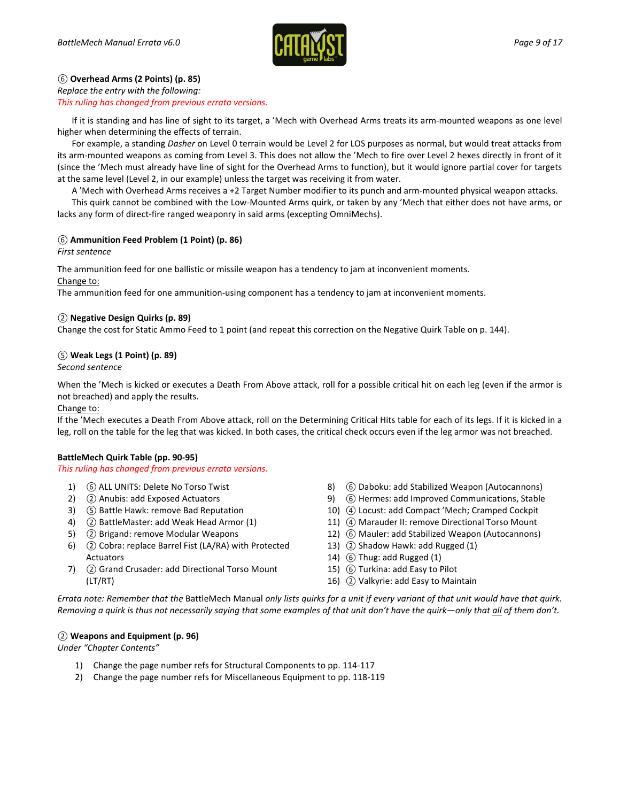

# *⑥* **Overhead Arms (2 Points) (p. 85)**

#### *Replace the entry with the following:*

*This ruling has changed from previous errata versions.*

If it is standing and has line of sight to its target, a 'Mech with Overhead Arms treats its arm-mounted weapons as one level higher when determining the effects of terrain.

For example, a standing *Dasher* on Level 0 terrain would be Level 2 for LOS purposes as normal, but would treat attacks from its arm-mounted weapons as coming from Level 3. This does not allow the 'Mech to fire over Level 2 hexes directly in front of it (since the 'Mech must already have line of sight for the Overhead Arms to function), but it would ignore partial cover for targets at the same level (Level 2, in our example) unless the target was receiving it from water.

A 'Mech with Overhead Arms receives a +2 Target Number modifier to its punch and arm-mounted physical weapon attacks.

This quirk cannot be combined with the Low-Mounted Arms quirk, or taken by any 'Mech that either does not have arms, or lacks any form of direct-fire ranged weaponry in said arms (excepting OmniMechs).

# *⑥* **Ammunition Feed Problem (1 Point) (p. 86)**

*First sentence*

The ammunition feed for one ballistic or missile weapon has a tendency to jam at inconvenient moments. Change to:

The ammunition feed for one ammunition-using component has a tendency to jam at inconvenient moments.

# *②* **Negative Design Quirks (p. 89)**

Change the cost for Static Ammo Feed to 1 point (and repeat this correction on the Negative Quirk Table on p. 144).

# *⑤* **Weak Legs (1 Point) (p. 89)**

*Second sentence*

When the 'Mech is kicked or executes a Death From Above attack, roll for a possible critical hit on each leg (even if the armor is not breached) and apply the results.

#### Change to:

If the 'Mech executes a Death From Above attack, roll on the Determining Critical Hits table for each of its legs. If it is kicked in a leg, roll on the table for the leg that was kicked. In both cases, the critical check occurs even if the leg armor was not breached.

#### **BattleMech Quirk Table (pp. 90-95)**

#### *This ruling has changed from previous errata versions.*

- 1) ⑥ ALL UNITS: Delete No Torso Twist
- 2) *②* Anubis: add Exposed Actuators
- 3) *⑤* Battle Hawk: remove Bad Reputation
- 4) *②* BattleMaster: add Weak Head Armor (1)
- 5) *②* Brigand: remove Modular Weapons
- 6) *②* Cobra: replace Barrel Fist (LA/RA) with Protected Actuators
- 7) *②* Grand Crusader: add Directional Torso Mount (LT/RT)
- 8) ⑥ Daboku: add Stabilized Weapon (Autocannons)
- 9) ⑥ Hermes: add Improved Communications, Stable
- 10) *④* Locust: add Compact 'Mech; Cramped Cockpit
- 11) *④* Marauder II: remove Directional Torso Mount
- 12) ⑥ Mauler: add Stabilized Weapon (Autocannons)
- 13) *②* Shadow Hawk: add Rugged (1)
- 14) ⑥ Thug: add Rugged (1)
- 15) ⑥ Turkina: add Easy to Pilot
- 16) *②* Valkyrie: add Easy to Maintain

*Errata note: Remember that the* BattleMech Manual *only lists quirks for a unit if every variant of that unit would have that quirk. Removing a quirk is thus not necessarily saying that some examples of that unit don't have the quirk—only that all of them don't.*

# *②* **Weapons and Equipment (p. 96)**

*Under "Chapter Contents"*

- 1) Change the page number refs for Structural Components to pp. 114-117
- 2) Change the page number refs for Miscellaneous Equipment to pp. 118-119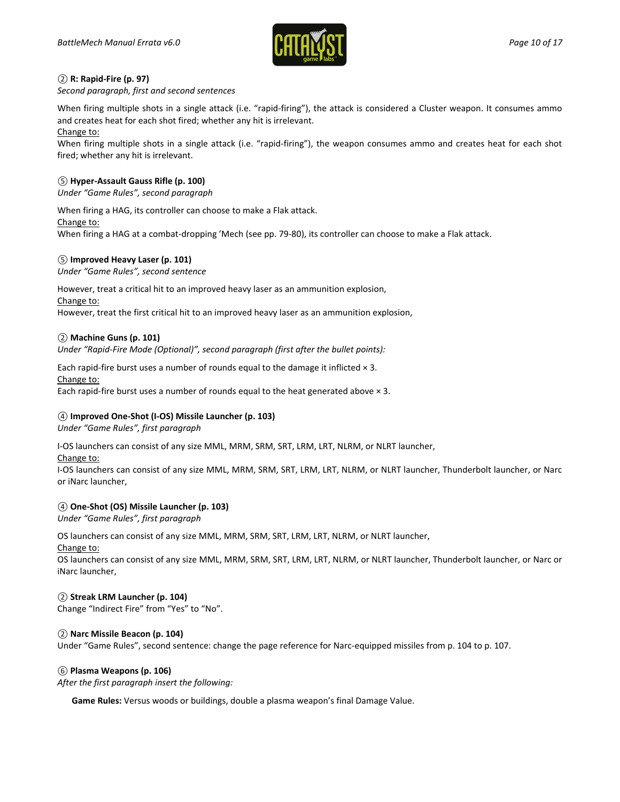

# *②* **R: Rapid-Fire (p. 97)**

*Second paragraph, first and second sentences*

When firing multiple shots in a single attack (i.e. "rapid-firing"), the attack is considered a Cluster weapon. It consumes ammo and creates heat for each shot fired; whether any hit is irrelevant.

Change to:

When firing multiple shots in a single attack (i.e. "rapid-firing"), the weapon consumes ammo and creates heat for each shot fired; whether any hit is irrelevant.

# *⑤* **Hyper-Assault Gauss Rifle (p. 100)**

*Under "Game Rules", second paragraph*

When firing a HAG, its controller can choose to make a Flak attack.

Change to:

When firing a HAG at a combat-dropping 'Mech (see pp. 79-80), its controller can choose to make a Flak attack.

# *⑤* **Improved Heavy Laser (p. 101)**

*Under "Game Rules", second sentence*

However, treat a critical hit to an improved heavy laser as an ammunition explosion, Change to:

However, treat the first critical hit to an improved heavy laser as an ammunition explosion,

# *②* **Machine Guns (p. 101)**

*Under "Rapid-Fire Mode (Optional)", second paragraph (first after the bullet points):*

Each rapid-fire burst uses a number of rounds equal to the damage it inflicted  $\times$  3. Change to:

Each rapid-fire burst uses a number of rounds equal to the heat generated above  $\times$  3.

# *④* **Improved One-Shot (I-OS) Missile Launcher (p. 103)**

*Under "Game Rules", first paragraph*

I-OS launchers can consist of any size MML, MRM, SRM, SRT, LRM, LRT, NLRM, or NLRT launcher,

Change to:

I-OS launchers can consist of any size MML, MRM, SRM, SRT, LRM, LRT, NLRM, or NLRT launcher, Thunderbolt launcher, or Narc or iNarc launcher,

# *④* **One-Shot (OS) Missile Launcher (p. 103)**

*Under "Game Rules", first paragraph*

OS launchers can consist of any size MML, MRM, SRM, SRT, LRM, LRT, NLRM, or NLRT launcher,

Change to:

OS launchers can consist of any size MML, MRM, SRM, SRT, LRM, LRT, NLRM, or NLRT launcher, Thunderbolt launcher, or Narc or iNarc launcher,

# *②* **Streak LRM Launcher (p. 104)**

Change "Indirect Fire" from "Yes" to "No".

# *②* **Narc Missile Beacon (p. 104)**

Under "Game Rules", second sentence: change the page reference for Narc-equipped missiles from p. 104 to p. 107.

# *⑥* **Plasma Weapons (p. 106)**

*After the first paragraph insert the following:*

**Game Rules:** Versus woods or buildings, double a plasma weapon's final Damage Value.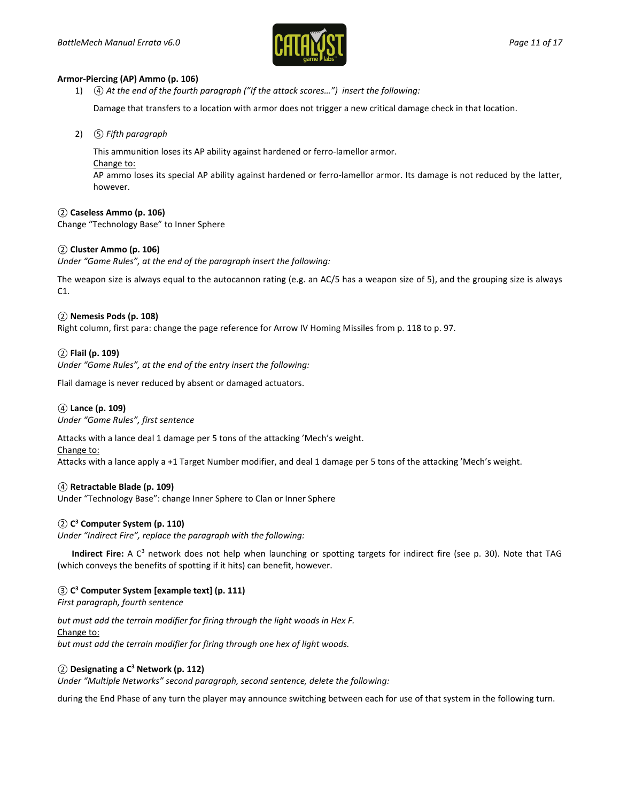

#### **Armor-Piercing (AP) Ammo (p. 106)**

1) *④ At the end of the fourth paragraph ("If the attack scores…") insert the following:*

Damage that transfers to a location with armor does not trigger a new critical damage check in that location.

2) *⑤ Fifth paragraph*

This ammunition loses its AP ability against hardened or ferro-lamellor armor.

Change to:

AP ammo loses its special AP ability against hardened or ferro-lamellor armor. Its damage is not reduced by the latter, however.

#### *②* **Caseless Ammo (p. 106)**

Change "Technology Base" to Inner Sphere

# *②* **Cluster Ammo (p. 106)**

*Under "Game Rules", at the end of the paragraph insert the following:*

The weapon size is always equal to the autocannon rating (e.g. an AC/5 has a weapon size of 5), and the grouping size is always C1.

#### *②* **Nemesis Pods (p. 108)**

Right column, first para: change the page reference for Arrow IV Homing Missiles from p. 118 to p. 97.

# *②* **Flail (p. 109)**

*Under "Game Rules", at the end of the entry insert the following:*

Flail damage is never reduced by absent or damaged actuators.

#### *④* **Lance (p. 109)**

*Under "Game Rules", first sentence*

Attacks with a lance deal 1 damage per 5 tons of the attacking 'Mech's weight.

#### Change to:

Attacks with a lance apply a +1 Target Number modifier, and deal 1 damage per 5 tons of the attacking 'Mech's weight.

#### *④* **Retractable Blade (p. 109)**

Under "Technology Base": change Inner Sphere to Clan or Inner Sphere

#### *②* **C3 Computer System (p. 110)**

*Under "Indirect Fire", replace the paragraph with the following:*

**Indirect Fire:** A C<sup>3</sup> network does not help when launching or spotting targets for indirect fire (see p. 30). Note that TAG (which conveys the benefits of spotting if it hits) can benefit, however.

#### *③* **C3 Computer System [example text] (p. 111)**

*First paragraph, fourth sentence*

*but must add the terrain modifier for firing through the light woods in Hex F.* Change to: *but must add the terrain modifier for firing through one hex of light woods.*

#### *②* **Designating a C3 Network (p. 112)**

*Under "Multiple Networks" second paragraph, second sentence, delete the following:*

during the End Phase of any turn the player may announce switching between each for use of that system in the following turn.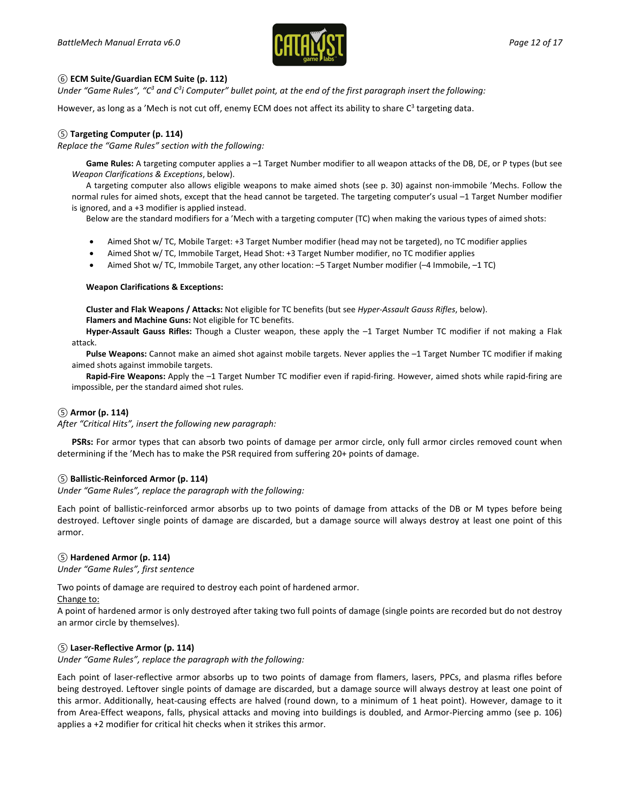

#### *⑥* **ECM Suite/Guardian ECM Suite (p. 112)**

*Under "Game Rules", "C3 and C3 i Computer" bullet point, at the end of the first paragraph insert the following:*

However, as long as a 'Mech is not cut off, enemy ECM does not affect its ability to share  $C^3$  targeting data.

### *⑤* **Targeting Computer (p. 114)**

*Replace the "Game Rules" section with the following:*

**Game Rules:** A targeting computer applies a –1 Target Number modifier to all weapon attacks of the DB, DE, or P types (but see *Weapon Clarifications & Exceptions*, below).

A targeting computer also allows eligible weapons to make aimed shots (see p. 30) against non-immobile 'Mechs. Follow the normal rules for aimed shots, except that the head cannot be targeted. The targeting computer's usual -1 Target Number modifier is ignored, and a +3 modifier is applied instead.

Below are the standard modifiers for a 'Mech with a targeting computer (TC) when making the various types of aimed shots:

- Aimed Shot w/ TC, Mobile Target: +3 Target Number modifier (head may not be targeted), no TC modifier applies
- Aimed Shot w/ TC, Immobile Target, Head Shot: +3 Target Number modifier, no TC modifier applies
- Aimed Shot w/ TC, Immobile Target, any other location: –5 Target Number modifier (–4 Immobile, –1 TC)

#### **Weapon Clarifications & Exceptions:**

**Cluster and Flak Weapons / Attacks:** Not eligible for TC benefits (but see *Hyper-Assault Gauss Rifles*, below).

**Flamers and Machine Guns:** Not eligible for TC benefits.

**Hyper-Assault Gauss Rifles:** Though a Cluster weapon, these apply the –1 Target Number TC modifier if not making a Flak attack.

**Pulse Weapons:** Cannot make an aimed shot against mobile targets. Never applies the –1 Target Number TC modifier if making aimed shots against immobile targets.

**Rapid-Fire Weapons:** Apply the –1 Target Number TC modifier even if rapid-firing. However, aimed shots while rapid-firing are impossible, per the standard aimed shot rules.

#### *⑤* **Armor (p. 114)**

*After "Critical Hits", insert the following new paragraph:*

**PSRs:** For armor types that can absorb two points of damage per armor circle, only full armor circles removed count when determining if the 'Mech has to make the PSR required from suffering 20+ points of damage.

#### *⑤* **Ballistic-Reinforced Armor (p. 114)**

*Under "Game Rules", replace the paragraph with the following:*

Each point of ballistic-reinforced armor absorbs up to two points of damage from attacks of the DB or M types before being destroyed. Leftover single points of damage are discarded, but a damage source will always destroy at least one point of this armor.

#### *⑤* **Hardened Armor (p. 114)**

*Under "Game Rules", first sentence*

Two points of damage are required to destroy each point of hardened armor.

#### Change to:

A point of hardened armor is only destroyed after taking two full points of damage (single points are recorded but do not destroy an armor circle by themselves).

#### *⑤* **Laser-Reflective Armor (p. 114)**

*Under "Game Rules", replace the paragraph with the following:*

Each point of laser-reflective armor absorbs up to two points of damage from flamers, lasers, PPCs, and plasma rifles before being destroyed. Leftover single points of damage are discarded, but a damage source will always destroy at least one point of this armor. Additionally, heat-causing effects are halved (round down, to a minimum of 1 heat point). However, damage to it from Area-Effect weapons, falls, physical attacks and moving into buildings is doubled, and Armor-Piercing ammo (see p. 106) applies a +2 modifier for critical hit checks when it strikes this armor.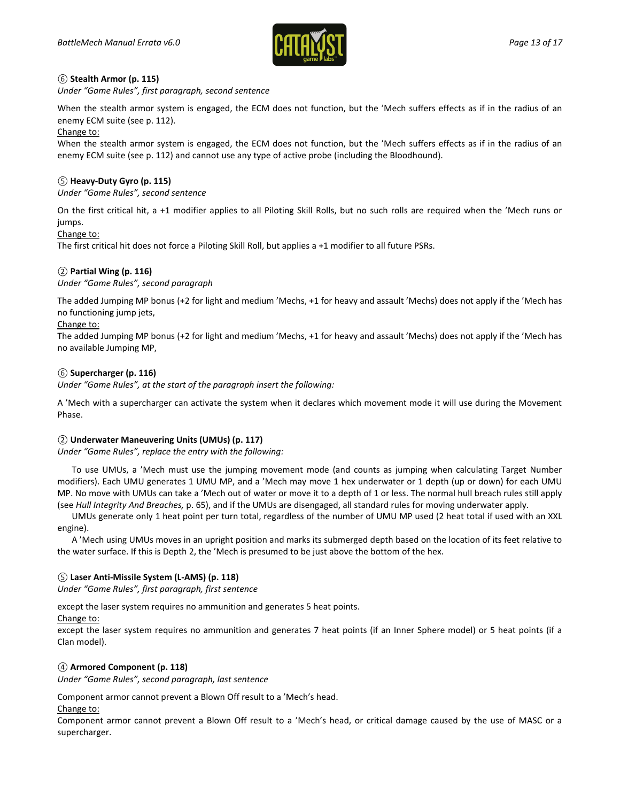

# *⑥* **Stealth Armor (p. 115)**

*Under "Game Rules", first paragraph, second sentence*

When the stealth armor system is engaged, the ECM does not function, but the 'Mech suffers effects as if in the radius of an enemy ECM suite (see p. 112).

#### Change to:

When the stealth armor system is engaged, the ECM does not function, but the 'Mech suffers effects as if in the radius of an enemy ECM suite (see p. 112) and cannot use any type of active probe (including the Bloodhound).

### *⑤* **Heavy-Duty Gyro (p. 115)**

*Under "Game Rules", second sentence*

On the first critical hit, a +1 modifier applies to all Piloting Skill Rolls, but no such rolls are required when the 'Mech runs or jumps.

#### Change to:

The first critical hit does not force a Piloting Skill Roll, but applies a +1 modifier to all future PSRs.

# *②* **Partial Wing (p. 116)**

*Under "Game Rules", second paragraph*

The added Jumping MP bonus (+2 for light and medium 'Mechs, +1 for heavy and assault 'Mechs) does not apply if the 'Mech has no functioning jump jets,

#### Change to:

The added Jumping MP bonus (+2 for light and medium 'Mechs, +1 for heavy and assault 'Mechs) does not apply if the 'Mech has no available Jumping MP,

#### *⑥* **Supercharger (p. 116)**

*Under "Game Rules", at the start of the paragraph insert the following:*

A 'Mech with a supercharger can activate the system when it declares which movement mode it will use during the Movement Phase.

#### *②* **Underwater Maneuvering Units (UMUs) (p. 117)**

*Under "Game Rules", replace the entry with the following:*

To use UMUs, a 'Mech must use the jumping movement mode (and counts as jumping when calculating Target Number modifiers). Each UMU generates 1 UMU MP, and a 'Mech may move 1 hex underwater or 1 depth (up or down) for each UMU MP. No move with UMUs can take a 'Mech out of water or move it to a depth of 1 or less. The normal hull breach rules still apply (see *Hull Integrity And Breaches,* p. 65), and if the UMUs are disengaged, all standard rules for moving underwater apply.

UMUs generate only 1 heat point per turn total, regardless of the number of UMU MP used (2 heat total if used with an XXL engine).

A 'Mech using UMUs moves in an upright position and marks its submerged depth based on the location of its feet relative to the water surface. If this is Depth 2, the 'Mech is presumed to be just above the bottom of the hex.

#### *⑤* **Laser Anti-Missile System (L-AMS) (p. 118)**

*Under "Game Rules", first paragraph, first sentence*

except the laser system requires no ammunition and generates 5 heat points.

Change to:

except the laser system requires no ammunition and generates 7 heat points (if an Inner Sphere model) or 5 heat points (if a Clan model).

#### *④* **Armored Component (p. 118)**

*Under "Game Rules", second paragraph, last sentence*

Component armor cannot prevent a Blown Off result to a 'Mech's head.

Change to:

Component armor cannot prevent a Blown Off result to a 'Mech's head, or critical damage caused by the use of MASC or a supercharger.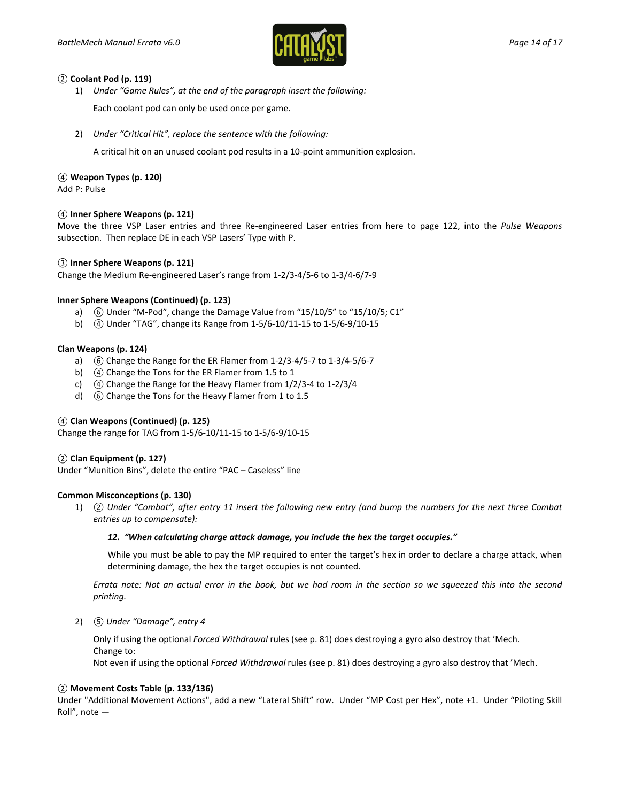

#### *②* **Coolant Pod (p. 119)**

1) *Under "Game Rules", at the end of the paragraph insert the following:*

Each coolant pod can only be used once per game.

2) *Under "Critical Hit", replace the sentence with the following:*

A critical hit on an unused coolant pod results in a 10-point ammunition explosion.

# *④* **Weapon Types (p. 120)**

Add P: Pulse

# *④* **Inner Sphere Weapons (p. 121)**

Move the three VSP Laser entries and three Re-engineered Laser entries from here to page 122, into the *Pulse Weapons* subsection. Then replace DE in each VSP Lasers' Type with P.

# *③* **Inner Sphere Weapons (p. 121)**

Change the Medium Re-engineered Laser's range from 1-2/3-4/5-6 to 1-3/4-6/7-9

# **Inner Sphere Weapons (Continued) (p. 123)**

- a) *⑥* Under "M-Pod", change the Damage Value from "15/10/5" to "15/10/5; C1"
- b) *④* Under "TAG", change its Range from 1-5/6-10/11-15 to 1-5/6-9/10-15

# **Clan Weapons (p. 124)**

- a) *⑥* Change the Range for the ER Flamer from 1-2/3-4/5-7 to 1-3/4-5/6-7
- b) *④* Change the Tons for the ER Flamer from 1.5 to 1
- c) *④* Change the Range for the Heavy Flamer from 1/2/3-4 to 1-2/3/4
- d) *⑥* Change the Tons for the Heavy Flamer from 1 to 1.5

# *④* **Clan Weapons (Continued) (p. 125)**

Change the range for TAG from 1-5/6-10/11-15 to 1-5/6-9/10-15

#### *②* **Clan Equipment (p. 127)**

Under "Munition Bins", delete the entire "PAC – Caseless" line

#### **Common Misconceptions (p. 130)**

1) *② Under "Combat", after entry 11 insert the following new entry (and bump the numbers for the next three Combat entries up to compensate):*

#### *12. "When calculating charge attack damage, you include the hex the target occupies."*

While you must be able to pay the MP required to enter the target's hex in order to declare a charge attack, when determining damage, the hex the target occupies is not counted.

*Errata note: Not an actual error in the book, but we had room in the section so we squeezed this into the second printing.*

2) *⑤ Under "Damage", entry 4*

Only if using the optional *Forced Withdrawal* rules (see p. 81) does destroying a gyro also destroy that 'Mech. Change to:

Not even if using the optional *Forced Withdrawal* rules (see p. 81) does destroying a gyro also destroy that 'Mech.

# *②* **Movement Costs Table (p. 133/136)**

Under "Additional Movement Actions", add a new "Lateral Shift" row. Under "MP Cost per Hex", note +1. Under "Piloting Skill Roll", note —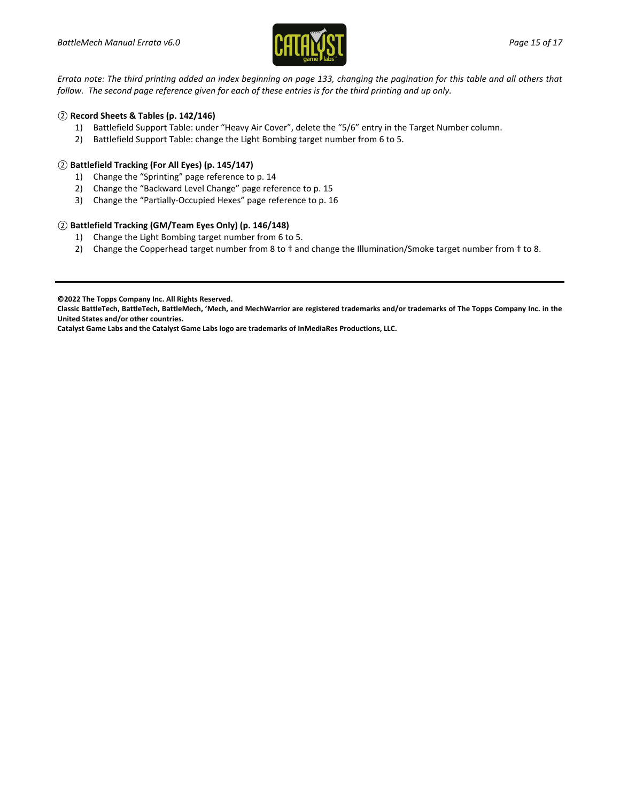

*Errata note: The third printing added an index beginning on page 133, changing the pagination for this table and all others that follow. The second page reference given for each of these entries is for the third printing and up only.*

# *②* **Record Sheets & Tables (p. 142/146)**

- 1) Battlefield Support Table: under "Heavy Air Cover", delete the "5/6" entry in the Target Number column.
- 2) Battlefield Support Table: change the Light Bombing target number from 6 to 5.

# *②* **Battlefield Tracking (For All Eyes) (p. 145/147)**

- 1) Change the "Sprinting" page reference to p. 14
- 2) Change the "Backward Level Change" page reference to p. 15
- 3) Change the "Partially-Occupied Hexes" page reference to p. 16

# *②* **Battlefield Tracking (GM/Team Eyes Only) (p. 146/148)**

- 1) Change the Light Bombing target number from 6 to 5.
- 2) Change the Copperhead target number from 8 to ‡ and change the Illumination/Smoke target number from ‡ to 8.

**Catalyst Game Labs and the Catalyst Game Labs logo are trademarks of InMediaRes Productions, LLC.**

**<sup>©2022</sup> The Topps Company Inc. All Rights Reserved.**

**Classic BattleTech, BattleTech, BattleMech, 'Mech, and MechWarrior are registered trademarks and/or trademarks of The Topps Company Inc. in the United States and/or other countries.**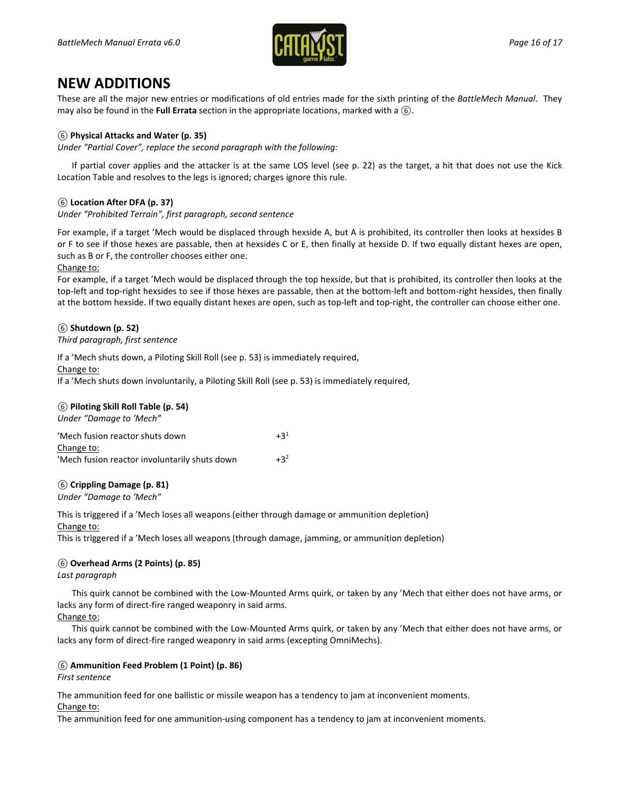

# **NEW ADDITIONS**

These are all the major new entries or modifications of old entries made for the sixth printing of the *BattleMech Manual*. They may also be found in the **Full Errata** section in the appropriate locations, marked with a *⑥*.

# *⑥* **Physical Attacks and Water (p. 35)**

*Under "Partial Cover", replace the second paragraph with the following:*

If partial cover applies and the attacker is at the same LOS level (see p. 22) as the target, a hit that does not use the Kick Location Table and resolves to the legs is ignored; charges ignore this rule.

# *⑥* **Location After DFA (p. 37)**

*Under "Prohibited Terrain", first paragraph, second sentence*

For example, if a target 'Mech would be displaced through hexside A, but A is prohibited, its controller then looks at hexsides B or F to see if those hexes are passable, then at hexsides C or E, then finally at hexside D. If two equally distant hexes are open, such as B or F, the controller chooses either one.

#### Change to:

For example, if a target 'Mech would be displaced through the top hexside, but that is prohibited, its controller then looks at the top-left and top-right hexsides to see if those hexes are passable, then at the bottom-left and bottom-right hexsides, then finally at the bottom hexside. If two equally distant hexes are open, such as top-left and top-right, the controller can choose either one.

# *⑥* **Shutdown (p. 52)**

#### *Third paragraph, first sentence*

If a 'Mech shuts down, a Piloting Skill Roll (see p. 53) is immediately required,

Change to:

If a 'Mech shuts down involuntarily, a Piloting Skill Roll (see p. 53) is immediately required,

#### *⑥* **Piloting Skill Roll Table (p. 54)**

*Under "Damage to 'Mech"*

| 'Mech fusion reactor shuts down               | $+3^1$ |
|-----------------------------------------------|--------|
| Change to:                                    |        |
| 'Mech fusion reactor involuntarily shuts down | $+3^2$ |

#### *⑥* **Crippling Damage (p. 81)**

*Under "Damage to 'Mech"*

This is triggered if a 'Mech loses all weapons (either through damage or ammunition depletion) Change to:

This is triggered if a 'Mech loses all weapons (through damage, jamming, or ammunition depletion)

#### *⑥* **Overhead Arms (2 Points) (p. 85)**

*Last paragraph*

This quirk cannot be combined with the Low-Mounted Arms quirk, or taken by any 'Mech that either does not have arms, or lacks any form of direct-fire ranged weaponry in said arms.

# Change to:

This quirk cannot be combined with the Low-Mounted Arms quirk, or taken by any 'Mech that either does not have arms, or lacks any form of direct-fire ranged weaponry in said arms (excepting OmniMechs).

#### *⑥* **Ammunition Feed Problem (1 Point) (p. 86)**

*First sentence*

The ammunition feed for one ballistic or missile weapon has a tendency to jam at inconvenient moments.

Change to:

The ammunition feed for one ammunition-using component has a tendency to jam at inconvenient moments.